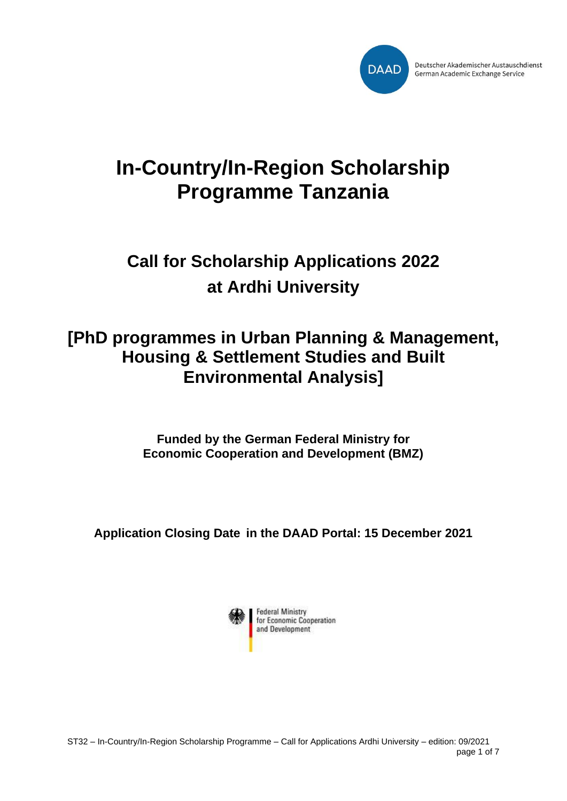

# **In-Country/In-Region Scholarship Programme Tanzania**

# **Call for Scholarship Applications 2022 at Ardhi University**

## **[PhD programmes in Urban Planning & Management, Housing & Settlement Studies and Built Environmental Analysis]**

**Funded by the German Federal Ministry for Economic Cooperation and Development (BMZ)**

**Application Closing Date in the DAAD Portal: 15 December 2021**

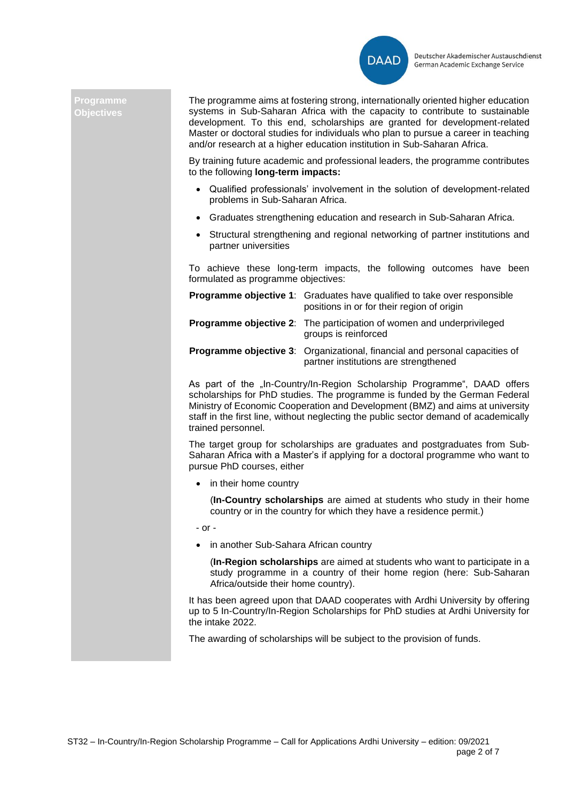

#### **Programme Objectives**

The programme aims at fostering strong, internationally oriented higher education systems in Sub-Saharan Africa with the capacity to contribute to sustainable development. To this end, scholarships are granted for development-related Master or doctoral studies for individuals who plan to pursue a career in teaching and/or research at a higher education institution in Sub-Saharan Africa.

By training future academic and professional leaders, the programme contributes to the following **long-term impacts:**

- Qualified professionals' involvement in the solution of development-related problems in Sub-Saharan Africa.
- Graduates strengthening education and research in Sub-Saharan Africa.
- Structural strengthening and regional networking of partner institutions and partner universities

To achieve these long-term impacts, the following outcomes have been formulated as programme objectives:

| <b>Programme objective 1:</b> Graduates have qualified to take over responsible<br>positions in or for their region of origin |
|-------------------------------------------------------------------------------------------------------------------------------|
| <b>Programme objective 2:</b> The participation of women and underprivileged<br>groups is reinforced                          |
| <b>Programme objective 3:</b> Organizational, financial and personal capacities of<br>partner institutions are strengthened   |

As part of the "In-Country/In-Region Scholarship Programme", DAAD offers scholarships for PhD studies. The programme is funded by the German Federal Ministry of Economic Cooperation and Development (BMZ) and aims at university staff in the first line, without neglecting the public sector demand of academically trained personnel.

The target group for scholarships are graduates and postgraduates from Sub-Saharan Africa with a Master's if applying for a doctoral programme who want to pursue PhD courses, either

• in their home country

(**In-Country scholarships** are aimed at students who study in their home country or in the country for which they have a residence permit.)

- or -

• in another Sub-Sahara African country

(**In-Region scholarships** are aimed at students who want to participate in a study programme in a country of their home region (here: Sub-Saharan Africa/outside their home country).

It has been agreed upon that DAAD cooperates with Ardhi University by offering up to 5 In-Country/In-Region Scholarships for PhD studies at Ardhi University for the intake 2022.

The awarding of scholarships will be subject to the provision of funds.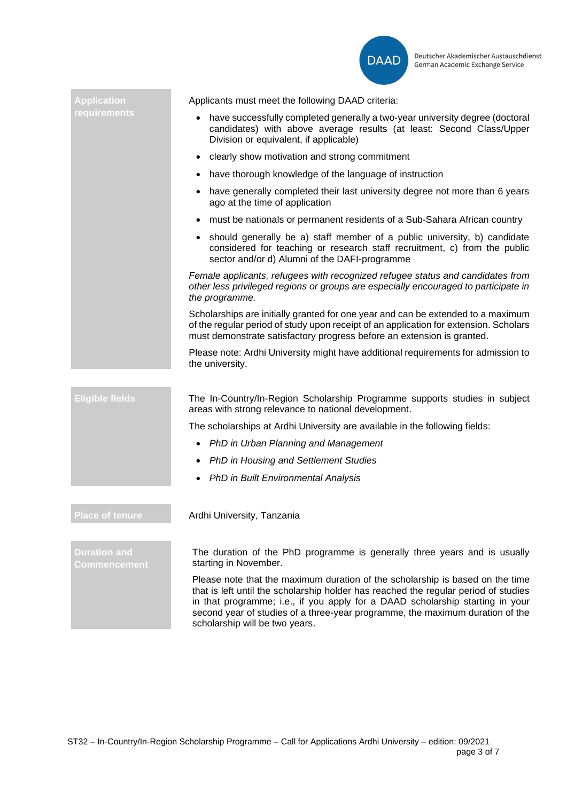

| <b>Application</b>                  | Applicants must meet the following DAAD criteria:                                                                                                                                                                                                                                                                                                                        |
|-------------------------------------|--------------------------------------------------------------------------------------------------------------------------------------------------------------------------------------------------------------------------------------------------------------------------------------------------------------------------------------------------------------------------|
| requirements                        | have successfully completed generally a two-year university degree (doctoral<br>candidates) with above average results (at least: Second Class/Upper<br>Division or equivalent, if applicable)                                                                                                                                                                           |
|                                     | clearly show motivation and strong commitment                                                                                                                                                                                                                                                                                                                            |
|                                     | have thorough knowledge of the language of instruction<br>$\bullet$                                                                                                                                                                                                                                                                                                      |
|                                     | have generally completed their last university degree not more than 6 years<br>ago at the time of application                                                                                                                                                                                                                                                            |
|                                     | must be nationals or permanent residents of a Sub-Sahara African country                                                                                                                                                                                                                                                                                                 |
|                                     | • should generally be a) staff member of a public university, b) candidate<br>considered for teaching or research staff recruitment, c) from the public<br>sector and/or d) Alumni of the DAFI-programme                                                                                                                                                                 |
|                                     | Female applicants, refugees with recognized refugee status and candidates from<br>other less privileged regions or groups are especially encouraged to participate in<br>the programme.                                                                                                                                                                                  |
|                                     | Scholarships are initially granted for one year and can be extended to a maximum<br>of the regular period of study upon receipt of an application for extension. Scholars<br>must demonstrate satisfactory progress before an extension is granted.                                                                                                                      |
|                                     | Please note: Ardhi University might have additional requirements for admission to<br>the university.                                                                                                                                                                                                                                                                     |
| <b>Eligible fields</b>              | The In-Country/In-Region Scholarship Programme supports studies in subject<br>areas with strong relevance to national development.                                                                                                                                                                                                                                       |
|                                     | The scholarships at Ardhi University are available in the following fields:                                                                                                                                                                                                                                                                                              |
|                                     | PhD in Urban Planning and Management<br>$\bullet$                                                                                                                                                                                                                                                                                                                        |
|                                     | <b>PhD in Housing and Settlement Studies</b>                                                                                                                                                                                                                                                                                                                             |
|                                     | PhD in Built Environmental Analysis                                                                                                                                                                                                                                                                                                                                      |
|                                     |                                                                                                                                                                                                                                                                                                                                                                          |
| <b>Place of tenure</b>              | Ardhi University, Tanzania                                                                                                                                                                                                                                                                                                                                               |
|                                     |                                                                                                                                                                                                                                                                                                                                                                          |
| <b>Duration and</b><br>Commencement | The duration of the PhD programme is generally three years and is usually<br>starting in November.                                                                                                                                                                                                                                                                       |
|                                     | Please note that the maximum duration of the scholarship is based on the time<br>that is left until the scholarship holder has reached the regular period of studies<br>in that programme; i.e., if you apply for a DAAD scholarship starting in your<br>second year of studies of a three-year programme, the maximum duration of the<br>scholarship will be two years. |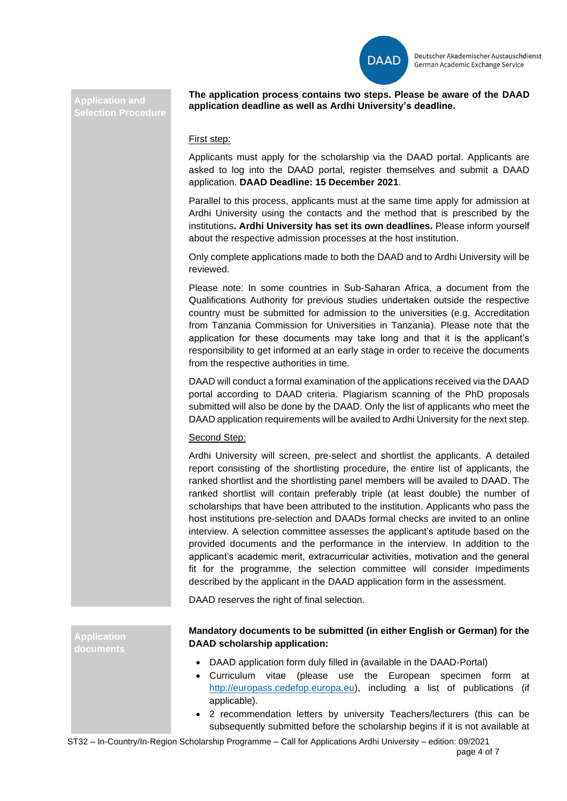

#### **Application and Selection Procedure**

**The application process contains two steps. Please be aware of the DAAD application deadline as well as Ardhi University's deadline.**

### First step:

Applicants must apply for the scholarship via the DAAD portal. Applicants are asked to log into the DAAD portal, register themselves and submit a DAAD application. **DAAD Deadline: 15 December 2021**.

Parallel to this process, applicants must at the same time apply for admission at Ardhi University using the contacts and the method that is prescribed by the institutions**. Ardhi University has set its own deadlines.** Please inform yourself about the respective admission processes at the host institution.

Only complete applications made to both the DAAD and to Ardhi University will be reviewed.

Please note: In some countries in Sub-Saharan Africa, a document from the Qualifications Authority for previous studies undertaken outside the respective country must be submitted for admission to the universities (e.g. Accreditation from Tanzania Commission for Universities in Tanzania). Please note that the application for these documents may take long and that it is the applicant's responsibility to get informed at an early stage in order to receive the documents from the respective authorities in time.

DAAD will conduct a formal examination of the applications received via the DAAD portal according to DAAD criteria. Plagiarism scanning of the PhD proposals submitted will also be done by the DAAD. Only the list of applicants who meet the DAAD application requirements will be availed to Ardhi University for the next step.

#### Second Step:

Ardhi University will screen, pre-select and shortlist the applicants. A detailed report consisting of the shortlisting procedure, the entire list of applicants, the ranked shortlist and the shortlisting panel members will be availed to DAAD. The ranked shortlist will contain preferably triple (at least double) the number of scholarships that have been attributed to the institution. Applicants who pass the host institutions pre-selection and DAADs formal checks are invited to an online interview. A selection committee assesses the applicant's aptitude based on the provided documents and the performance in the interview. In addition to the applicant's academic merit, extracurricular activities, motivation and the general fit for the programme, the selection committee will consider impediments described by the applicant in the DAAD application form in the assessment.

DAAD reserves the right of final selection.

**Application documents**

## **Mandatory documents to be submitted (in either English or German) for the DAAD scholarship application:**

- DAAD application form duly filled in (available in the DAAD-Portal)
- Curriculum vitae (please use the European specimen form at [http://europass.cedefop.europa.eu\)](http://europass.cedefop.europa.eu/), including a list of publications (if applicable).
- 2 recommendation letters by university Teachers/lecturers (this can be subsequently submitted before the scholarship begins if it is not available at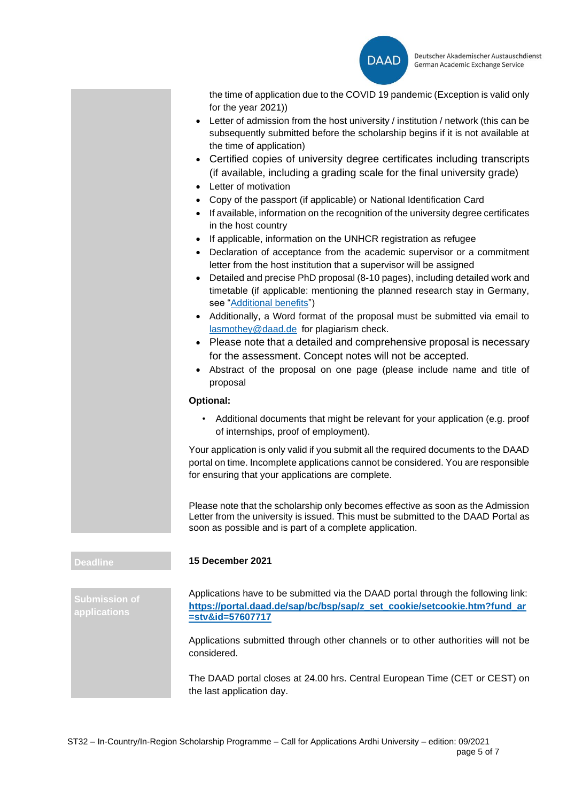

the time of application due to the COVID 19 pandemic (Exception is valid only for the year 2021))

- Letter of admission from the host university / institution / network (this can be subsequently submitted before the scholarship begins if it is not available at the time of application)
- Certified copies of university degree certificates including transcripts (if available, including a grading scale for the final university grade)
- Letter of motivation
- Copy of the passport (if applicable) or National Identification Card
- If available, information on the recognition of the university degree certificates in the host country
- If applicable, information on the UNHCR registration as refugee
- Declaration of acceptance from the academic supervisor or a commitment letter from the host institution that a supervisor will be assigned
- Detailed and precise PhD proposal (8-10 pages), including detailed work and timetable (if applicable: mentioning the planned research stay in Germany, see ["Additional benefits"](#page-5-0))
- Additionally, a Word format of the proposal must be submitted via email to [lasmothey@daad.de](mailto:lasmothey@daad.de) for plagiarism check.
- Please note that a detailed and comprehensive proposal is necessary for the assessment. Concept notes will not be accepted.
- Abstract of the proposal on one page (please include name and title of proposal

#### **Optional:**

• Additional documents that might be relevant for your application (e.g. proof of internships, proof of employment).

Your application is only valid if you submit all the required documents to the DAAD portal on time. Incomplete applications cannot be considered. You are responsible for ensuring that your applications are complete.

Please note that the scholarship only becomes effective as soon as the Admission Letter from the university is issued. This must be submitted to the DAAD Portal as soon as possible and is part of a complete application.

#### **Deadline 15 December 2021**

Applications have to be submitted via the DAAD portal through the following link: **[https://portal.daad.de/sap/bc/bsp/sap/z\\_set\\_cookie/setcookie.htm?fund\\_ar](https://portal.daad.de/sap/bc/bsp/sap/z_set_cookie/setcookie.htm?fund_ar=stv&id=57607717) [=stv&id=57607717](https://portal.daad.de/sap/bc/bsp/sap/z_set_cookie/setcookie.htm?fund_ar=stv&id=57607717)**

Applications submitted through other channels or to other authorities will not be considered.

The DAAD portal closes at 24.00 hrs. Central European Time (CET or CEST) on the last application day.

**Submission of applications**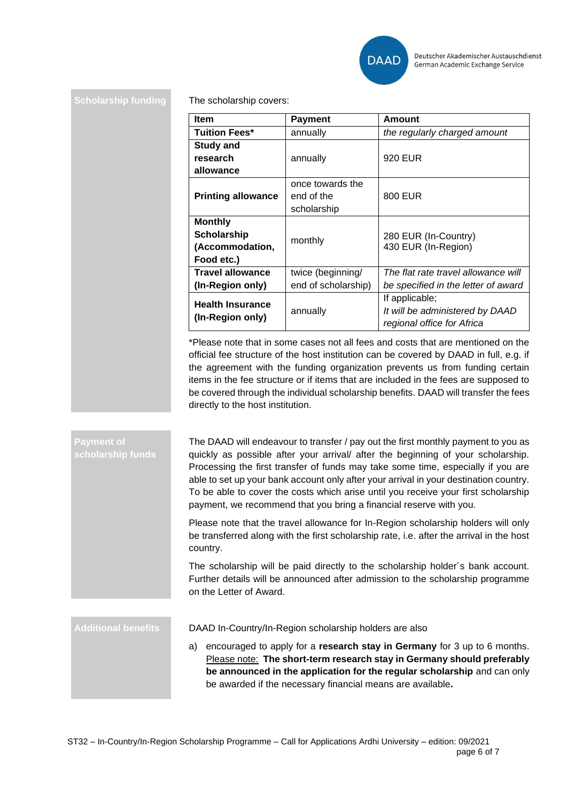

**Scholarship funding** The scholarship covers:

| <b>Item</b>               | <b>Payment</b>      | Amount                              |
|---------------------------|---------------------|-------------------------------------|
| <b>Tuition Fees*</b>      | annually            | the regularly charged amount        |
| <b>Study and</b>          |                     |                                     |
| research                  | annually            | 920 EUR                             |
| allowance                 |                     |                                     |
| <b>Printing allowance</b> | once towards the    |                                     |
|                           | end of the          | 800 EUR                             |
|                           | scholarship         |                                     |
| <b>Monthly</b>            |                     |                                     |
| <b>Scholarship</b>        | monthly             | 280 EUR (In-Country)                |
| (Accommodation,           |                     | 430 EUR (In-Region)                 |
| Food etc.)                |                     |                                     |
| <b>Travel allowance</b>   | twice (beginning/   | The flat rate travel allowance will |
| (In-Region only)          | end of scholarship) | be specified in the letter of award |
| <b>Health Insurance</b>   |                     | If applicable;                      |
| (In-Region only)          | annually            | It will be administered by DAAD     |
|                           |                     | regional office for Africa          |

\*Please note that in some cases not all fees and costs that are mentioned on the official fee structure of the host institution can be covered by DAAD in full, e.g. if the agreement with the funding organization prevents us from funding certain items in the fee structure or if items that are included in the fees are supposed to be covered through the individual scholarship benefits. DAAD will transfer the fees directly to the host institution.

**Payment of**  The DAAD will endeavour to transfer / pay out the first monthly payment to you as quickly as possible after your arrival/ after the beginning of your scholarship. Processing the first transfer of funds may take some time, especially if you are able to set up your bank account only after your arrival in your destination country. To be able to cover the costs which arise until you receive your first scholarship payment, we recommend that you bring a financial reserve with you.

> Please note that the travel allowance for In-Region scholarship holders will only be transferred along with the first scholarship rate, i.e. after the arrival in the host country.

> The scholarship will be paid directly to the scholarship holder´s bank account. Further details will be announced after admission to the scholarship programme on the Letter of Award.

<span id="page-5-0"></span>

**Additional benefits** DAAD In-Country/In-Region scholarship holders are also

a) encouraged to apply for a **research stay in Germany** for 3 up to 6 months. Please note: **The short-term research stay in Germany should preferably be announced in the application for the regular scholarship** and can only be awarded if the necessary financial means are available**.**